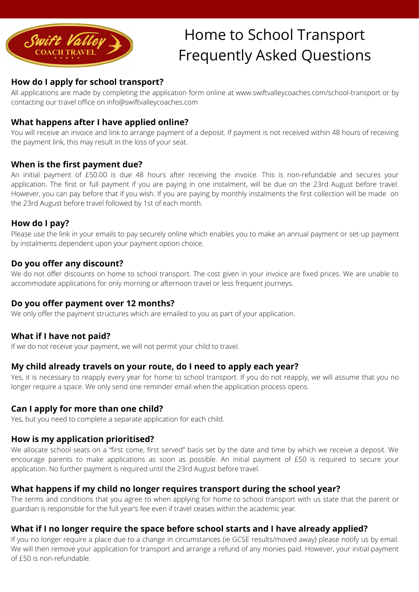

# Home to School Transport Frequently Asked Questions

# **How do I apply for school transport?**

All applications are made by completing the application form online at [www.swiftvalleycoaches.com/school-transport](http://www.swiftvalleycoaches.com/school-transport) or by contacting our travel office on [info@swiftvalleycoaches.com](mailto:info@swiftvalleycoaches.com)

# **What happens after I have applied online?**

You will receive an invoice and link to arrange payment of a deposit. If payment is not received within 48 hours of receiving the payment link, this may result in the loss of your seat.

#### **When is the first payment due?**

An initial payment of £50.00 is due 48 hours after receiving the invoice. This is non-refundable and secures your application. The first or full payment if you are paying in one instalment, will be due on the 23rd August before travel. However, you can pay before that if you wish. If you are paying by monthly instalments the first collection will be made on the 23rd August before travel followed by 1st of each month.

#### **How do I pay?**

Please use the link in your emails to pay securely online which enables you to make an annual payment or set-up payment by instalments dependent upon your payment option choice.

## **Do you offer any discount?**

We do not offer discounts on home to school transport. The cost given in your invoice are fixed prices. We are unable to accommodate applications for only morning or afternoon travel or less frequent journeys.

## **Do you offer payment over 12 months?**

We only offer the payment structures which are emailed to you as part of your application.

## **What if I have not paid?**

If we do not receive your payment, we will not permit your child to travel.

#### **My child already travels on your route, do I need to apply each year?**

Yes, it is necessary to reapply every year for home to school transport. If you do not reapply, we will assume that you no longer require a space. We only send one reminder email when the application process opens.

#### **Can I apply for more than one child?**

Yes, but you need to complete a separate application for each child.

## **How is my application prioritised?**

We allocate school seats on a "first come, first served" basis set by the date and time by which we receive a deposit. We encourage parents to make applications as soon as possible. An initial payment of £50 is required to secure your application. No further payment is required until the 23rd August before travel.

## **What happens if my child no longer requires transport during the school year?**

The terms and conditions that you agree to when applying for home to school transport with us state that the parent or guardian is responsible for the full year's fee even if travel ceases within the academic year.

#### **What if I no longer require the space before school starts and I have already applied?**

If you no longer require a place due to a change in circumstances (ie GCSE results/moved away) please notify us by email. We will then remove your application for transport and arrange a refund of any monies paid. However, your initial payment of £50 is non-refundable.